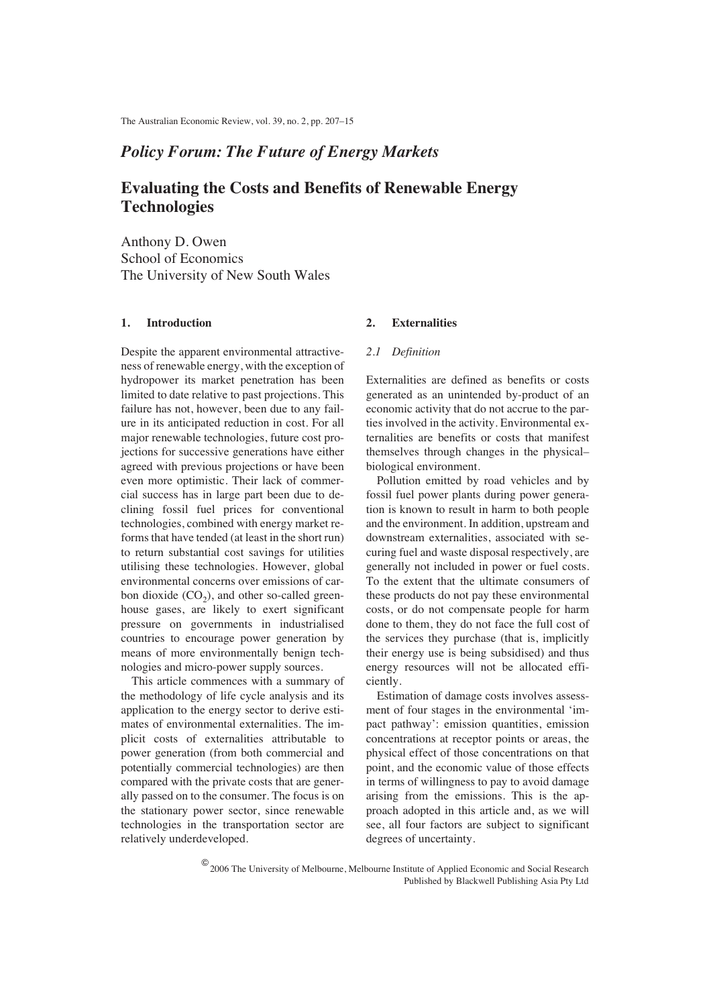# *Policy Forum: The Future of Energy Markets*

# **Evaluating the Costs and Benefits of Renewable Energy Technologies**

Anthony D. Owen School of Economics The University of New South Wales

## **1. Introduction**

Despite the apparent environmental attractiveness of renewable energy, with the exception of hydropower its market penetration has been limited to date relative to past projections. This failure has not, however, been due to any failure in its anticipated reduction in cost. For all major renewable technologies, future cost projections for successive generations have either agreed with previous projections or have been even more optimistic. Their lack of commercial success has in large part been due to declining fossil fuel prices for conventional technologies, combined with energy market reforms that have tended (at least in the short run) to return substantial cost savings for utilities utilising these technologies. However, global environmental concerns over emissions of carbon dioxide  $(CO<sub>2</sub>)$ , and other so-called greenhouse gases, are likely to exert significant pressure on governments in industrialised countries to encourage power generation by means of more environmentally benign technologies and micro-power supply sources.

This article commences with a summary of the methodology of life cycle analysis and its application to the energy sector to derive estimates of environmental externalities. The implicit costs of externalities attributable to power generation (from both commercial and potentially commercial technologies) are then compared with the private costs that are generally passed on to the consumer. The focus is on the stationary power sector, since renewable technologies in the transportation sector are relatively underdeveloped.

### **2. Externalities**

#### *2.1 Definition*

Externalities are defined as benefits or costs generated as an unintended by-product of an economic activity that do not accrue to the parties involved in the activity. Environmental externalities are benefits or costs that manifest themselves through changes in the physical– biological environment.

Pollution emitted by road vehicles and by fossil fuel power plants during power generation is known to result in harm to both people and the environment. In addition, upstream and downstream externalities, associated with securing fuel and waste disposal respectively, are generally not included in power or fuel costs. To the extent that the ultimate consumers of these products do not pay these environmental costs, or do not compensate people for harm done to them, they do not face the full cost of the services they purchase (that is, implicitly their energy use is being subsidised) and thus energy resources will not be allocated efficiently.

Estimation of damage costs involves assessment of four stages in the environmental 'impact pathway': emission quantities, emission concentrations at receptor points or areas, the physical effect of those concentrations on that point, and the economic value of those effects in terms of willingness to pay to avoid damage arising from the emissions. This is the approach adopted in this article and, as we will see, all four factors are subject to significant degrees of uncertainty.

© 2006 The University of Melbourne, Melbourne Institute of Applied Economic and Social Research Published by Blackwell Publishing Asia Pty Ltd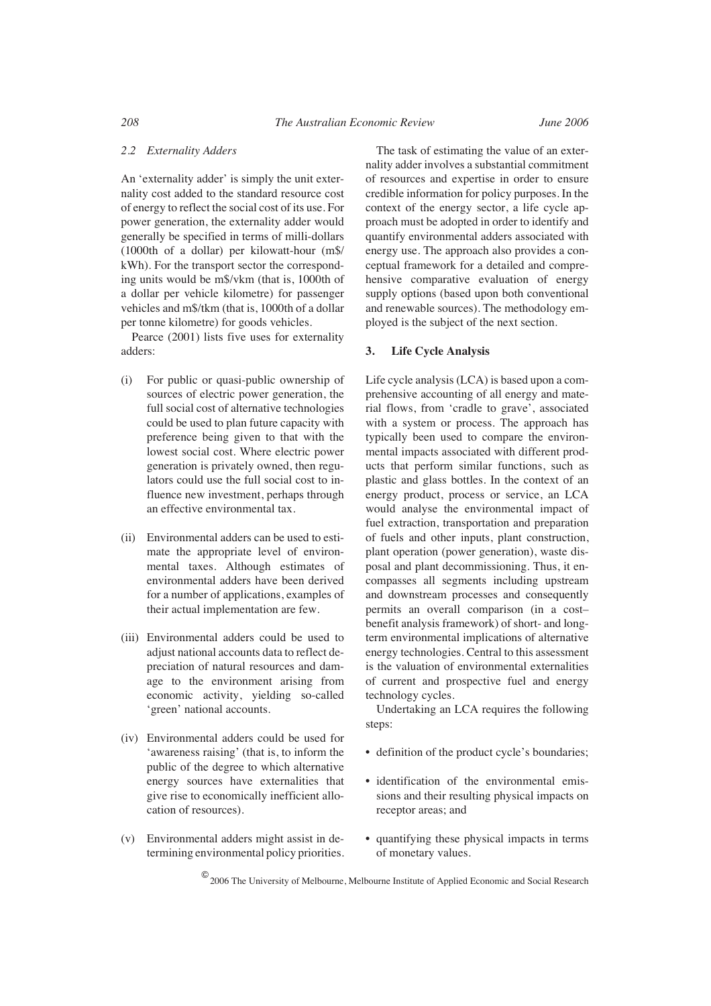#### *2.2 Externality Adders*

An 'externality adder' is simply the unit externality cost added to the standard resource cost of energy to reflect the social cost of its use. For power generation, the externality adder would generally be specified in terms of milli-dollars (1000th of a dollar) per kilowatt-hour (m\$/ kWh). For the transport sector the corresponding units would be m\$/vkm (that is, 1000th of a dollar per vehicle kilometre) for passenger vehicles and m\$/tkm (that is, 1000th of a dollar per tonne kilometre) for goods vehicles.

Pearce (2001) lists five uses for externality adders:

- (i) For public or quasi-public ownership of sources of electric power generation, the full social cost of alternative technologies could be used to plan future capacity with preference being given to that with the lowest social cost. Where electric power generation is privately owned, then regulators could use the full social cost to influence new investment, perhaps through an effective environmental tax.
- (ii) Environmental adders can be used to estimate the appropriate level of environmental taxes. Although estimates of environmental adders have been derived for a number of applications, examples of their actual implementation are few.
- (iii) Environmental adders could be used to adjust national accounts data to reflect depreciation of natural resources and damage to the environment arising from economic activity, yielding so-called 'green' national accounts.
- (iv) Environmental adders could be used for 'awareness raising' (that is, to inform the public of the degree to which alternative energy sources have externalities that give rise to economically inefficient allocation of resources).
- (v) Environmental adders might assist in determining environmental policy priorities.

The task of estimating the value of an externality adder involves a substantial commitment of resources and expertise in order to ensure credible information for policy purposes. In the context of the energy sector, a life cycle approach must be adopted in order to identify and quantify environmental adders associated with energy use. The approach also provides a conceptual framework for a detailed and comprehensive comparative evaluation of energy supply options (based upon both conventional and renewable sources). The methodology employed is the subject of the next section.

#### **3. Life Cycle Analysis**

Life cycle analysis (LCA) is based upon a comprehensive accounting of all energy and material flows, from 'cradle to grave', associated with a system or process. The approach has typically been used to compare the environmental impacts associated with different products that perform similar functions, such as plastic and glass bottles. In the context of an energy product, process or service, an LCA would analyse the environmental impact of fuel extraction, transportation and preparation of fuels and other inputs, plant construction, plant operation (power generation), waste disposal and plant decommissioning. Thus, it encompasses all segments including upstream and downstream processes and consequently permits an overall comparison (in a cost– benefit analysis framework) of short- and longterm environmental implications of alternative energy technologies. Central to this assessment is the valuation of environmental externalities of current and prospective fuel and energy technology cycles.

Undertaking an LCA requires the following steps:

- definition of the product cycle's boundaries:
- identification of the environmental emissions and their resulting physical impacts on receptor areas; and
- quantifying these physical impacts in terms of monetary values.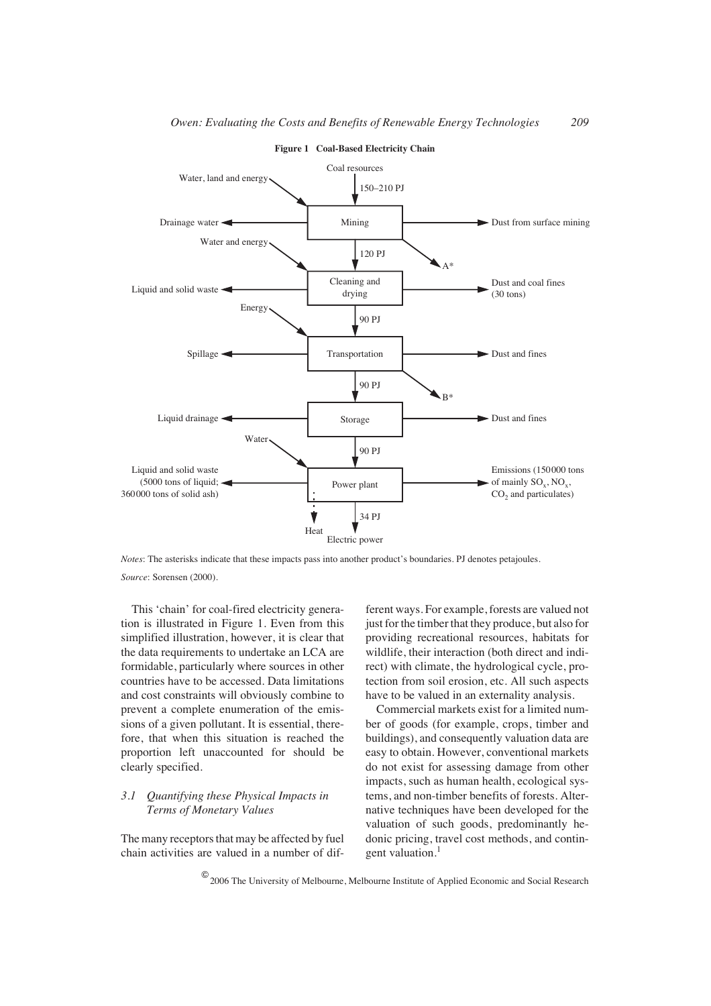

**Figure 1 Coal-Based Electricity Chain**

*Notes*: The asterisks indicate that these impacts pass into another product's boundaries. PJ denotes petajoules. *Source*: Sorensen (2000).

This 'chain' for coal-fired electricity generation is illustrated in Figure 1. Even from this simplified illustration, however, it is clear that the data requirements to undertake an LCA are formidable, particularly where sources in other countries have to be accessed. Data limitations and cost constraints will obviously combine to prevent a complete enumeration of the emissions of a given pollutant. It is essential, therefore, that when this situation is reached the proportion left unaccounted for should be clearly specified.

# *3.1 Quantifying these Physical Impacts in Terms of Monetary Values*

The many receptors that may be affected by fuel chain activities are valued in a number of different ways. For example, forests are valued not just for the timber that they produce, but also for providing recreational resources, habitats for wildlife, their interaction (both direct and indirect) with climate, the hydrological cycle, protection from soil erosion, etc. All such aspects have to be valued in an externality analysis.

Commercial markets exist for a limited number of goods (for example, crops, timber and buildings), and consequently valuation data are easy to obtain. However, conventional markets do not exist for assessing damage from other impacts, such as human health, ecological systems, and non-timber benefits of forests. Alternative techniques have been developed for the valuation of such goods, predominantly hedonic pricing, travel cost methods, and contingent valuation.<sup>1</sup>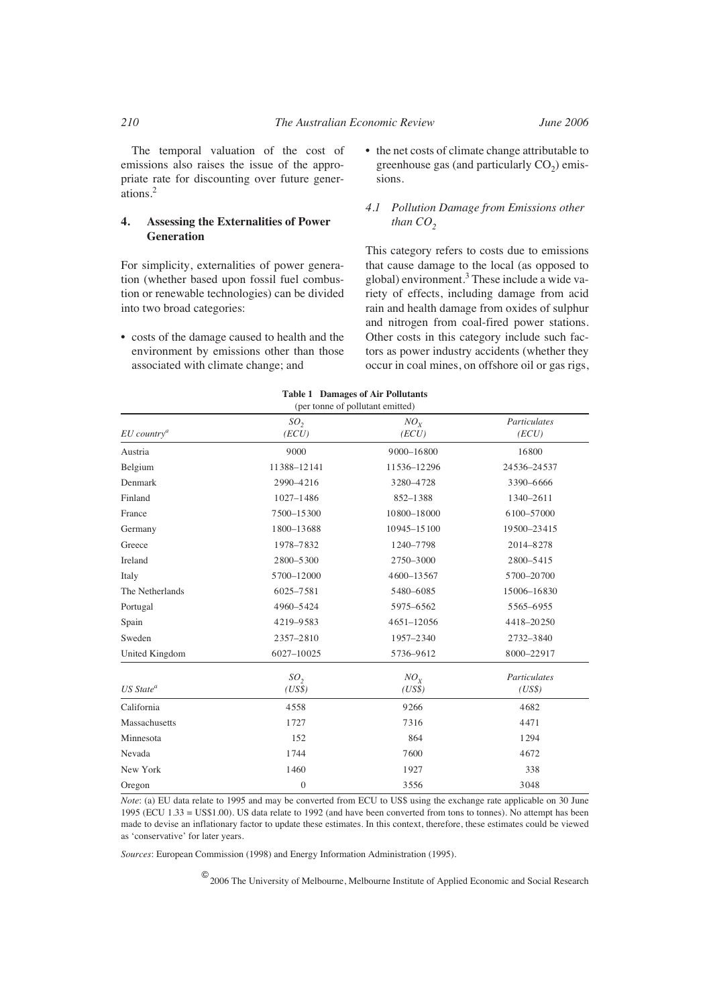The temporal valuation of the cost of emissions also raises the issue of the appropriate rate for discounting over future generations.<sup>2</sup>

### **4. Assessing the Externalities of Power Generation**

For simplicity, externalities of power generation (whether based upon fossil fuel combustion or renewable technologies) can be divided into two broad categories:

• costs of the damage caused to health and the environment by emissions other than those associated with climate change; and

• the net costs of climate change attributable to greenhouse gas (and particularly  $CO<sub>2</sub>$ ) emissions.

#### *4.1 Pollution Damage from Emissions other than*  $CO<sub>2</sub>$

This category refers to costs due to emissions that cause damage to the local (as opposed to global) environment.<sup>3</sup> These include a wide variety of effects, including damage from acid rain and health damage from oxides of sulphur and nitrogen from coal-fired power stations. Other costs in this category include such factors as power industry accidents (whether they occur in coal mines, on offshore oil or gas rigs,

| (per tonne of pollutant emitted) |                           |                          |                        |  |  |  |  |
|----------------------------------|---------------------------|--------------------------|------------------------|--|--|--|--|
| $EU$ country <sup>a</sup>        | SO <sub>2</sub><br>(ECU)  | NO <sub>x</sub><br>(ECU) | Particulates<br>(ECU)  |  |  |  |  |
| Austria                          | 9000                      | 9000-16800               | 16800                  |  |  |  |  |
| Belgium                          | 11388-12141               | 11536-12296              | 24536-24537            |  |  |  |  |
| Denmark                          | 2990-4216                 | 3280-4728                | 3390-6666              |  |  |  |  |
| Finland                          | $1027 - 1486$             | 852-1388                 | 1340-2611              |  |  |  |  |
| France                           | 7500-15300                | 10800-18000              | 6100-57000             |  |  |  |  |
| Germany                          | 1800-13688                | 10945-15100              | 19500-23415            |  |  |  |  |
| Greece                           | 1978-7832                 | 1240-7798                | 2014-8278              |  |  |  |  |
| Ireland                          | 2800-5300                 | 2750-3000                | 2800-5415              |  |  |  |  |
| Italy                            | 5700-12000                | 4600-13567               | 5700-20700             |  |  |  |  |
| The Netherlands                  | 6025-7581                 | 5480-6085                | 15006-16830            |  |  |  |  |
| Portugal                         | 4960-5424                 | 5975-6562                | 5565-6955              |  |  |  |  |
| Spain                            | 4219-9583                 | 4651-12056               | 4418-20250             |  |  |  |  |
| Sweden                           | 2357-2810                 | 1957-2340                | 2732-3840              |  |  |  |  |
| United Kingdom                   | 6027-10025                | 5736-9612                | 8000-22917             |  |  |  |  |
| $US State^a$                     | SO <sub>2</sub><br>(US\$) | $NO_{Y}$<br>(US\$)       | Particulates<br>(US\$) |  |  |  |  |
| California                       | 4558                      | 9266                     | 4682                   |  |  |  |  |
| Massachusetts                    | 1727                      | 7316                     | 4471                   |  |  |  |  |
| Minnesota                        | 152                       | 864                      | 1294                   |  |  |  |  |
| Nevada                           | 1744                      | 7600                     | 4672                   |  |  |  |  |
| New York                         | 1460                      | 1927                     | 338                    |  |  |  |  |
| Oregon                           | $\overline{0}$            | 3556                     | 3048                   |  |  |  |  |

**Table 1 Damages of Air Pollutants** 

*Note*: (a) EU data relate to 1995 and may be converted from ECU to US\$ using the exchange rate applicable on 30 June 1995 (ECU 1.33 = US\$1.00). US data relate to 1992 (and have been converted from tons to tonnes). No attempt has been made to devise an inflationary factor to update these estimates. In this context, therefore, these estimates could be viewed as 'conservative' for later years.

*Sources*: European Commission (1998) and Energy Information Administration (1995).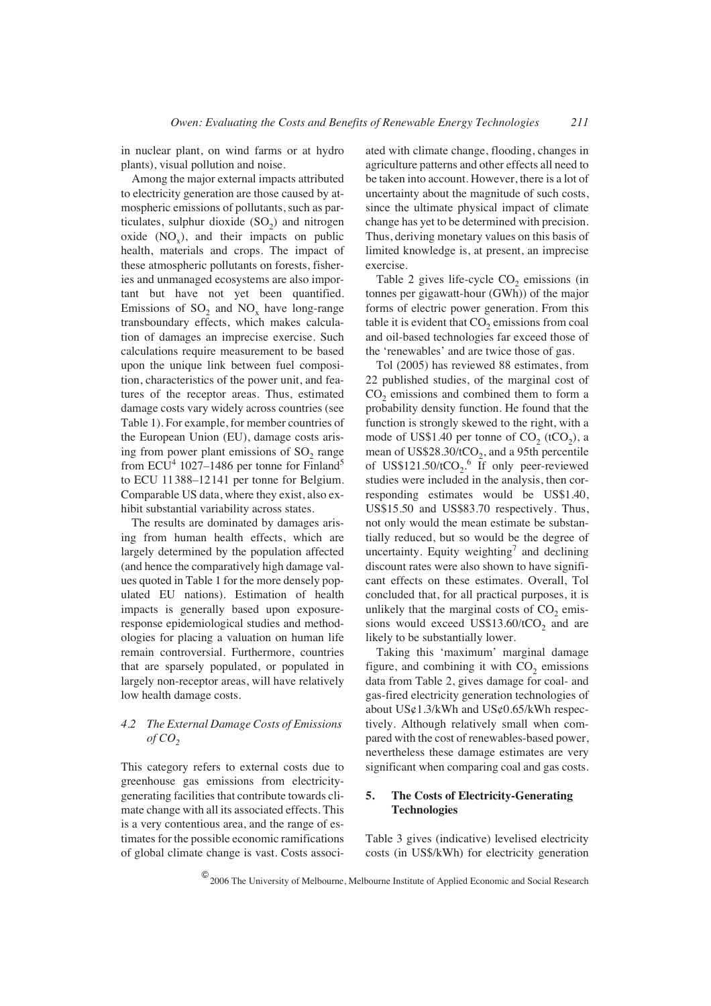in nuclear plant, on wind farms or at hydro plants), visual pollution and noise.

Among the major external impacts attributed to electricity generation are those caused by atmospheric emissions of pollutants, such as particulates, sulphur dioxide  $(SO<sub>2</sub>)$  and nitrogen oxide  $(NO_x)$ , and their impacts on public health, materials and crops. The impact of these atmospheric pollutants on forests, fisheries and unmanaged ecosystems are also important but have not yet been quantified. Emissions of  $SO<sub>2</sub>$  and  $NO<sub>x</sub>$  have long-range transboundary effects, which makes calculation of damages an imprecise exercise. Such calculations require measurement to be based upon the unique link between fuel composition, characteristics of the power unit, and features of the receptor areas. Thus, estimated damage costs vary widely across countries (see Table 1). For example, for member countries of the European Union (EU), damage costs arising from power plant emissions of  $SO<sub>2</sub>$  range from  $ECU^4$  1027–1486 per tonne for Finland<sup>5</sup> to ECU 11388–12141 per tonne for Belgium. Comparable US data, where they exist, also exhibit substantial variability across states.

The results are dominated by damages arising from human health effects, which are largely determined by the population affected (and hence the comparatively high damage values quoted in Table 1 for the more densely populated EU nations). Estimation of health impacts is generally based upon exposureresponse epidemiological studies and methodologies for placing a valuation on human life remain controversial. Furthermore, countries that are sparsely populated, or populated in largely non-receptor areas, will have relatively low health damage costs.

## *4.2 The External Damage Costs of Emissions*   $of CO$ <sub>2</sub>

This category refers to external costs due to greenhouse gas emissions from electricitygenerating facilities that contribute towards climate change with all its associated effects. This is a very contentious area, and the range of estimates for the possible economic ramifications of global climate change is vast. Costs associated with climate change, flooding, changes in agriculture patterns and other effects all need to be taken into account. However, there is a lot of uncertainty about the magnitude of such costs, since the ultimate physical impact of climate change has yet to be determined with precision. Thus, deriving monetary values on this basis of limited knowledge is, at present, an imprecise exercise.

Table 2 gives life-cycle  $CO<sub>2</sub>$  emissions (in tonnes per gigawatt-hour (GWh)) of the major forms of electric power generation. From this table it is evident that  $CO<sub>2</sub>$  emissions from coal and oil-based technologies far exceed those of the 'renewables' and are twice those of gas.

Tol (2005) has reviewed 88 estimates, from 22 published studies, of the marginal cost of CO<sub>2</sub> emissions and combined them to form a probability density function. He found that the function is strongly skewed to the right, with a mode of US\$1.40 per tonne of  $CO<sub>2</sub>$  (tCO<sub>2</sub>), a mean of US\$28.30/ $tCO<sub>2</sub>$ , and a 95th percentile of US\$121.50/tCO<sub>2</sub>.<sup>6</sup> If only peer-reviewed studies were included in the analysis, then corresponding estimates would be US\$1.40, US\$15.50 and US\$83.70 respectively. Thus, not only would the mean estimate be substantially reduced, but so would be the degree of uncertainty. Equity weighting<sup>7</sup> and declining discount rates were also shown to have significant effects on these estimates. Overall, Tol concluded that, for all practical purposes, it is unlikely that the marginal costs of  $CO<sub>2</sub>$  emissions would exceed US\$13.60/ $tCO<sub>2</sub>$  and are likely to be substantially lower.

Taking this 'maximum' marginal damage figure, and combining it with  $CO<sub>2</sub>$  emissions data from Table 2, gives damage for coal- and gas-fired electricity generation technologies of about  $US\varphi$ 1.3/kWh and  $US\varphi$ 0.65/kWh respectively. Although relatively small when compared with the cost of renewables-based power, nevertheless these damage estimates are very significant when comparing coal and gas costs.

### **5. The Costs of Electricity-Generating Technologies**

Table 3 gives (indicative) levelised electricity costs (in US\$/kWh) for electricity generation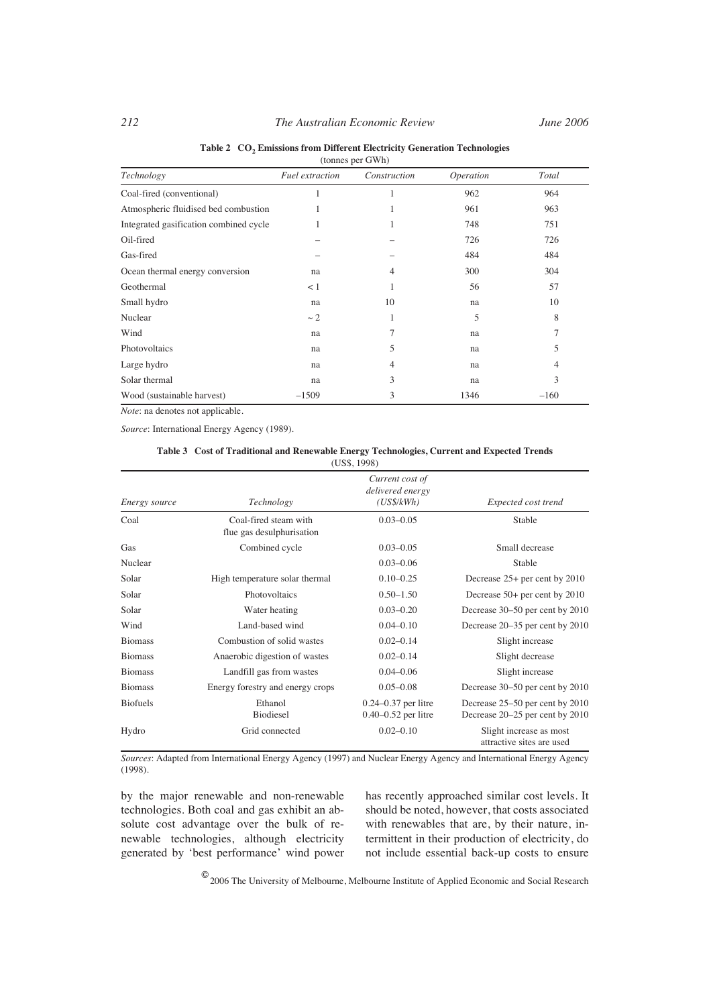| (tonnes per GWh)                       |                 |              |           |        |  |  |  |
|----------------------------------------|-----------------|--------------|-----------|--------|--|--|--|
| Technology                             | Fuel extraction | Construction | Operation | Total  |  |  |  |
| Coal-fired (conventional)              |                 |              | 962       | 964    |  |  |  |
| Atmospheric fluidised bed combustion   |                 |              | 961       | 963    |  |  |  |
| Integrated gasification combined cycle |                 |              | 748       | 751    |  |  |  |
| Oil-fired                              |                 |              | 726       | 726    |  |  |  |
| Gas-fired                              |                 |              | 484       | 484    |  |  |  |
| Ocean thermal energy conversion        | na              | 4            | 300       | 304    |  |  |  |
| Geothermal                             | < 1             |              | 56        | 57     |  |  |  |
| Small hydro                            | na              | 10           | na        | 10     |  |  |  |
| Nuclear                                | $\sim$ 2        |              | 5         | 8      |  |  |  |
| Wind                                   | na              | 7            | na        | 7      |  |  |  |
| Photovoltaics                          | na              | 5            | na        | 5.     |  |  |  |
| Large hydro                            | na              | 4            | na        | 4      |  |  |  |
| Solar thermal                          | na              | 3            | na        | 3      |  |  |  |
| Wood (sustainable harvest)             | $-1509$         | 3            | 1346      | $-160$ |  |  |  |

Table 2 CO<sub>2</sub> Emissions from Different Electricity Generation Technologies

*Note*: na denotes not applicable.

*Source*: International Energy Agency (1989).

| Table 3 Cost of Traditional and Renewable Energy Technologies, Current and Expected Trends |
|--------------------------------------------------------------------------------------------|
| (USS, 1998)                                                                                |

| Energy source   | Technology                                         | Current cost of<br>delivered energy<br>(US\$/kWh)  | Expected cost trend                                                |
|-----------------|----------------------------------------------------|----------------------------------------------------|--------------------------------------------------------------------|
| Coal            | Coal-fired steam with<br>flue gas desulphurisation | $0.03 - 0.05$                                      | Stable                                                             |
| Gas             | Combined cycle                                     | $0.03 - 0.05$                                      | Small decrease                                                     |
| Nuclear         |                                                    | $0.03 - 0.06$                                      | Stable                                                             |
| Solar           | High temperature solar thermal                     | $0.10 - 0.25$                                      | Decrease $25+$ per cent by $2010$                                  |
| Solar           | Photovoltaics                                      | $0.50 - 1.50$                                      | Decrease 50+ per cent by 2010                                      |
| Solar           | Water heating                                      | $0.03 - 0.20$                                      | Decrease 30–50 per cent by 2010                                    |
| Wind            | Land-based wind                                    | $0.04 - 0.10$                                      | Decrease 20–35 per cent by 2010                                    |
| <b>Biomass</b>  | Combustion of solid wastes                         | $0.02 - 0.14$                                      | Slight increase                                                    |
| <b>Biomass</b>  | Anaerobic digestion of wastes                      | $0.02 - 0.14$                                      | Slight decrease                                                    |
| <b>Biomass</b>  | Landfill gas from wastes                           | $0.04 - 0.06$                                      | Slight increase                                                    |
| <b>Biomass</b>  | Energy forestry and energy crops                   | $0.05 - 0.08$                                      | Decrease 30–50 per cent by 2010                                    |
| <b>Biofuels</b> | Ethanol<br>Biodiesel                               | $0.24 - 0.37$ per litre<br>$0.40 - 0.52$ per litre | Decrease 25–50 per cent by 2010<br>Decrease 20–25 per cent by 2010 |
| Hydro           | Grid connected                                     | $0.02 - 0.10$                                      | Slight increase as most<br>attractive sites are used               |

*Sources*: Adapted from International Energy Agency (1997) and Nuclear Energy Agency and International Energy Agency (1998).

by the major renewable and non-renewable technologies. Both coal and gas exhibit an absolute cost advantage over the bulk of renewable technologies, although electricity generated by 'best performance' wind power

has recently approached similar cost levels. It should be noted, however, that costs associated with renewables that are, by their nature, intermittent in their production of electricity, do not include essential back-up costs to ensure

 $^\text{\textregistered}$  2006 The University of Melbourne, Melbourne Institute of Applied Economic and Social Research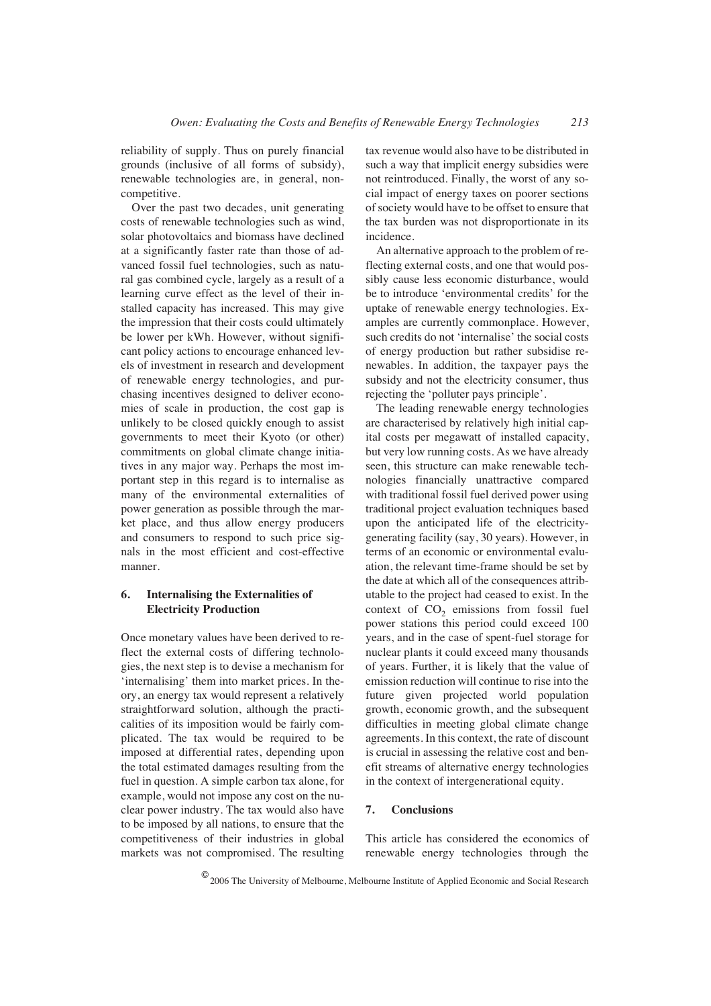reliability of supply. Thus on purely financial grounds (inclusive of all forms of subsidy), renewable technologies are, in general, noncompetitive.

Over the past two decades, unit generating costs of renewable technologies such as wind, solar photovoltaics and biomass have declined at a significantly faster rate than those of advanced fossil fuel technologies, such as natural gas combined cycle, largely as a result of a learning curve effect as the level of their installed capacity has increased. This may give the impression that their costs could ultimately be lower per kWh. However, without significant policy actions to encourage enhanced levels of investment in research and development of renewable energy technologies, and purchasing incentives designed to deliver economies of scale in production, the cost gap is unlikely to be closed quickly enough to assist governments to meet their Kyoto (or other) commitments on global climate change initiatives in any major way. Perhaps the most important step in this regard is to internalise as many of the environmental externalities of power generation as possible through the market place, and thus allow energy producers and consumers to respond to such price signals in the most efficient and cost-effective manner.

## **6. Internalising the Externalities of Electricity Production**

Once monetary values have been derived to reflect the external costs of differing technologies, the next step is to devise a mechanism for 'internalising' them into market prices. In theory, an energy tax would represent a relatively straightforward solution, although the practicalities of its imposition would be fairly complicated. The tax would be required to be imposed at differential rates, depending upon the total estimated damages resulting from the fuel in question. A simple carbon tax alone, for example, would not impose any cost on the nuclear power industry. The tax would also have to be imposed by all nations, to ensure that the competitiveness of their industries in global markets was not compromised. The resulting

tax revenue would also have to be distributed in such a way that implicit energy subsidies were not reintroduced. Finally, the worst of any social impact of energy taxes on poorer sections of society would have to be offset to ensure that the tax burden was not disproportionate in its incidence.

An alternative approach to the problem of reflecting external costs, and one that would possibly cause less economic disturbance, would be to introduce 'environmental credits' for the uptake of renewable energy technologies. Examples are currently commonplace. However, such credits do not 'internalise' the social costs of energy production but rather subsidise renewables. In addition, the taxpayer pays the subsidy and not the electricity consumer, thus rejecting the 'polluter pays principle'.

The leading renewable energy technologies are characterised by relatively high initial capital costs per megawatt of installed capacity, but very low running costs. As we have already seen, this structure can make renewable technologies financially unattractive compared with traditional fossil fuel derived power using traditional project evaluation techniques based upon the anticipated life of the electricitygenerating facility (say, 30 years). However, in terms of an economic or environmental evaluation, the relevant time-frame should be set by the date at which all of the consequences attributable to the project had ceased to exist. In the context of  $CO<sub>2</sub>$  emissions from fossil fuel power stations this period could exceed 100 years, and in the case of spent-fuel storage for nuclear plants it could exceed many thousands of years. Further, it is likely that the value of emission reduction will continue to rise into the future given projected world population growth, economic growth, and the subsequent difficulties in meeting global climate change agreements. In this context, the rate of discount is crucial in assessing the relative cost and benefit streams of alternative energy technologies in the context of intergenerational equity.

#### **7. Conclusions**

This article has considered the economics of renewable energy technologies through the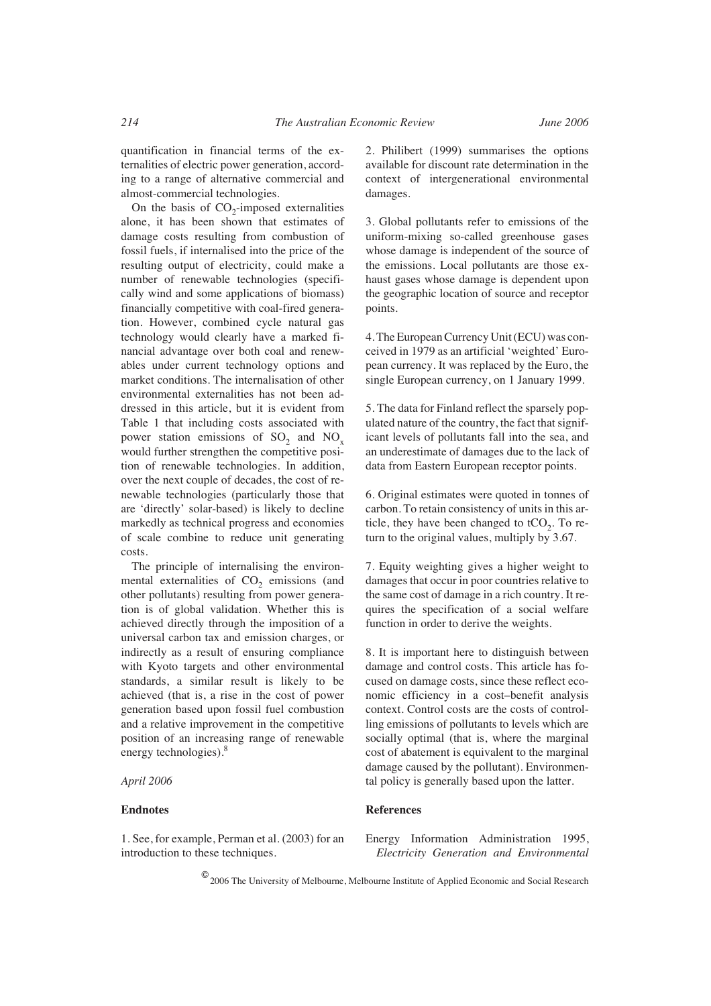quantification in financial terms of the externalities of electric power generation, according to a range of alternative commercial and almost-commercial technologies.

On the basis of  $CO<sub>2</sub>$ -imposed externalities alone, it has been shown that estimates of damage costs resulting from combustion of fossil fuels, if internalised into the price of the resulting output of electricity, could make a number of renewable technologies (specifically wind and some applications of biomass) financially competitive with coal-fired generation. However, combined cycle natural gas technology would clearly have a marked financial advantage over both coal and renewables under current technology options and market conditions. The internalisation of other environmental externalities has not been addressed in this article, but it is evident from Table 1 that including costs associated with power station emissions of  $SO_2$  and  $NO_x$ would further strengthen the competitive position of renewable technologies. In addition, over the next couple of decades, the cost of renewable technologies (particularly those that are 'directly' solar-based) is likely to decline markedly as technical progress and economies of scale combine to reduce unit generating costs.

The principle of internalising the environmental externalities of  $CO<sub>2</sub>$  emissions (and other pollutants) resulting from power generation is of global validation. Whether this is achieved directly through the imposition of a universal carbon tax and emission charges, or indirectly as a result of ensuring compliance with Kyoto targets and other environmental standards, a similar result is likely to be achieved (that is, a rise in the cost of power generation based upon fossil fuel combustion and a relative improvement in the competitive position of an increasing range of renewable energy technologies).<sup>8</sup>

*April 2006*

#### **Endnotes**

1. See, for example, Perman et al. (2003) for an introduction to these techniques.

2. Philibert (1999) summarises the options available for discount rate determination in the context of intergenerational environmental damages.

3. Global pollutants refer to emissions of the uniform-mixing so-called greenhouse gases whose damage is independent of the source of the emissions. Local pollutants are those exhaust gases whose damage is dependent upon the geographic location of source and receptor points.

4. The European Currency Unit (ECU) was conceived in 1979 as an artificial 'weighted' European currency. It was replaced by the Euro, the single European currency, on 1 January 1999.

5. The data for Finland reflect the sparsely populated nature of the country, the fact that significant levels of pollutants fall into the sea, and an underestimate of damages due to the lack of data from Eastern European receptor points.

6. Original estimates were quoted in tonnes of carbon. To retain consistency of units in this article, they have been changed to  $tCO<sub>2</sub>$ . To return to the original values, multiply by 3.67.

7. Equity weighting gives a higher weight to damages that occur in poor countries relative to the same cost of damage in a rich country. It requires the specification of a social welfare function in order to derive the weights.

8. It is important here to distinguish between damage and control costs. This article has focused on damage costs, since these reflect economic efficiency in a cost–benefit analysis context. Control costs are the costs of controlling emissions of pollutants to levels which are socially optimal (that is, where the marginal cost of abatement is equivalent to the marginal damage caused by the pollutant). Environmental policy is generally based upon the latter.

#### **References**

Energy Information Administration 1995, *Electricity Generation and Environmental*